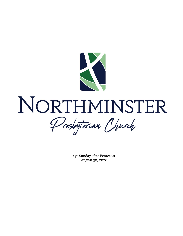

# NORTHMINSTER Presbyteriar Church

13th Sunday after Pentecost August 30, 2020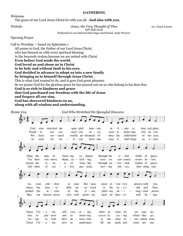#### **GATHERING**

Welcome

The grace of our Lord Jesus Christ be with you all. **And also with you.**

Prelude *Jesus, the Very Thought of Thee* arr. Lloyd Larson NPC Bell Choir

Dedicated to our beloved bell ringer and friend, Andy Weaver.

Opening Prayer

Call to Worship — based on Ephesians 1

All praise to God, the Father of our Lord Jesus Christ, who has blessed us with every spiritual blessing in the heavenly realms because we are united with Christ. **Even before God made the world, God loved us and chose us in Christ**

**to be holy and without fault in his eyes.**

## **God decided in advance to adopt us into a new family**

**by bringing us to himself through Jesus Christ.**

This is what God wanted to do, and it gave God great pleasure.

So we praise God for the glorious grace he has poured out on us who belong to his dear Son.

**God is so rich in kindness and grace**

**that God purchased our freedom with the life of Jesus**

**and forgave all our sins.**

**God has showered kindness on us,**

**along with all wisdom and understanding.**

| Hymn $#24$ | God Who Stretched the Spangled Heavens                                                                                                                                                                                                                                                                                                                                                                                                                                                                                                     |
|------------|--------------------------------------------------------------------------------------------------------------------------------------------------------------------------------------------------------------------------------------------------------------------------------------------------------------------------------------------------------------------------------------------------------------------------------------------------------------------------------------------------------------------------------------------|
|            |                                                                                                                                                                                                                                                                                                                                                                                                                                                                                                                                            |
| 5          | $in - fi - nite$ in<br>God.<br>who<br>stretched the<br>span – gled<br>$heav - ens$<br>time and place,<br>$-1y$<br>build-ings<br>Proud<br>mod – ern<br>$cit - ies,$<br>state $-1y$<br>rise<br>row<br>on row.<br>our<br>child-hood<br>We<br>worlds un-dreamed of<br>since the<br>of<br>have<br>ven – tured<br>our race;<br>ho<br>it<br>chal-lenge<br>each<br>far<br>$ri - zon$<br>beck – ons,<br>As<br>may<br>$a$ – new,<br>$\overline{\phantom{0}}$<br>us                                                                                   |
|            |                                                                                                                                                                                                                                                                                                                                                                                                                                                                                                                                            |
| 9          | flung the<br>ra - diance<br>through the<br>$si$ – lent<br>of<br>in<br>$burn - ing$<br>fields<br>space,<br>suns<br>$feel - ing$ ,<br>Yet their<br>blank, $un -$<br>$win$ - dows,<br>$be - low$ ,<br>stare<br>on<br>$can$ - yoned<br>streets<br>$wing - ing$<br>realms of space;<br>known the<br>of<br>through $un -$<br>trav - eled<br>$ec - sta$<br>sy<br>$\overline{\phantom{a}}$<br>$hon -oring$ you.<br>chil - dren<br>$serv - ing$<br>of<br>$a - tive$<br>pur - pose,<br>$\alpha$ <sup>-</sup> ers,<br>cre<br>$\overline{\phantom{a}}$ |
|            |                                                                                                                                                                                                                                                                                                                                                                                                                                                                                                                                            |
| 13         | chil - dren<br>like – ness,<br>share $in - ven - tive$<br>powers with<br>in<br>we,<br>your<br>your<br>you.<br>drift<br>no - ticed<br>the $cit - y's$<br>ebb<br>and<br>where<br>the<br>$lone - ly$<br>in<br>flow,<br>$un -$<br>of<br>se - crets<br>the<br>$yield - ing$<br>$un - i$<br>probed<br>the<br>at $-$ om,<br>$mag$ – ined<br>power,<br>rich<br>with<br>each $en - deav - or$<br>well<br>May<br>dreams prove<br>$prom - ise,$<br>be $-$ gun.<br>our                                                                                 |
|            |                                                                                                                                                                                                                                                                                                                                                                                                                                                                                                                                            |
|            | show<br>Great<br>$Cre - a - tor,$<br>still<br>$\text{crea} - \text{at} - \text{ing},$<br>what we<br>do.<br>us<br>yet<br>may<br>where they<br>$mean - ing$<br>lost<br>and<br>$\text{score} - \text{ly}$<br>$car - ing$<br>to<br>$pur - pose$<br>to<br>go.<br>life's<br>with<br>de<br>$\overline{\phantom{a}}$<br>$struc$ -tion<br>$um$ – phant<br>$fac - ing$<br>most tri<br>us<br>hour.<br>or<br>our<br>till<br>guide-ance<br>Great $Cre - a - tor$ ,<br>give<br>goals and<br><b>us</b><br>yours are<br>our<br>one.                        |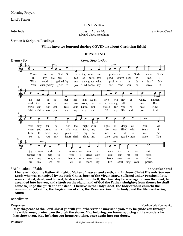Morning Prayers

Lord's Prayer

#### **LISTENING**

**Interlude** arr. Brent Olstad *Jesus Loves Me* arr. Brent Olstad **arrefugees** Edward Clark, saxophone

#### Sermon & Scripture Readings

#### **What have we learned during COVID-19 about Christian faith?**

#### **DEPARTING**



#### \*Affirmation of Faith The Apostles' Creed

**I believe in God the Father Almighty, Maker of heaven and earth, and in Jesus Christ His only Son our Lord; who was conceived by the Holy Ghost, born of the Virgin Mary, suffered under Pontius Pilate, was crucified, dead, and buried; he descended into hell; the third day he rose again from the dead; he ascended into heaven, and sitteth on the right hand of God the Father Almighty; from thence he shall come to judge the quick and the dead. I believe in the Holy Ghost, the holy catholic church; the communion of saints; the forgiveness of sins; the Resurrection of the body; and the life everlasting. Amen**

#### Benediction

Response Northumbria Community

**May the peace of the Lord Christ go with you, wherever he may send you. May he guide you through the wilderness, protect you through the storm. May he bring you home rejoicing at the wonders he has shown you. May he bring you home rejoicing, once again into our doors.**